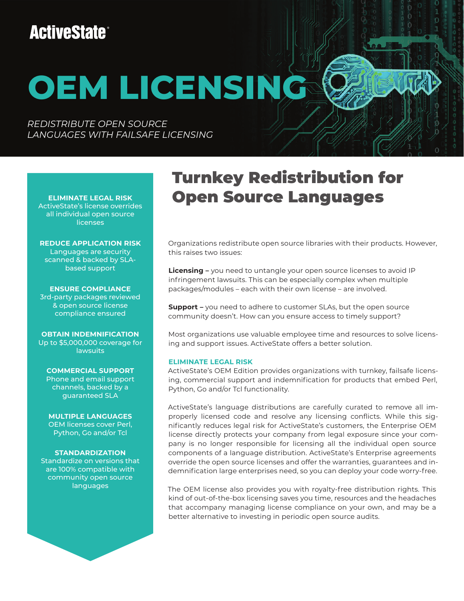# **ActiveState®**

# **OEM LICENSING**

*REDISTRIBUTE OPEN SOURCE LANGUAGES WITH FAILSAFE LICENSING*

**ELIMINATE LEGAL RISK** ActiveState's license overrides all individual open source **licenses** 

**REDUCE APPLICATION RISK** Languages are security scanned & backed by SLAbased support

**ENSURE COMPLIANCE** 3rd-party packages reviewed & open source license compliance ensured

**OBTAIN INDEMNIFICATION** Up to \$5,000,000 coverage for lawsuits

**COMMERCIAL SUPPORT** Phone and email support channels, backed by a guaranteed SLA

**MULTIPLE LANGUAGES** OEM licenses cover Perl, Python, Go and/or Tcl

### **STANDARDIZATION**

Standardize on versions that are 100% compatible with community open source languages

## Turnkey Redistribution for Open Source Languages

Organizations redistribute open source libraries with their products. However, this raises two issues:

**Licensing –** you need to untangle your open source licenses to avoid IP infringement lawsuits. This can be especially complex when multiple packages/modules – each with their own license – are involved.

**Support** – you need to adhere to customer SLAs, but the open source community doesn't. How can you ensure access to timely support?

Most organizations use valuable employee time and resources to solve licensing and support issues. ActiveState offers a better solution.

### **ELIMINATE LEGAL RISK**

ActiveState's OEM Edition provides organizations with turnkey, failsafe licensing, commercial support and indemnification for products that embed Perl, Python, Go and/or Tcl functionality.

ActiveState's language distributions are carefully curated to remove all improperly licensed code and resolve any licensing conflicts. While this significantly reduces legal risk for ActiveState's customers, the Enterprise OEM license directly protects your company from legal exposure since your company is no longer responsible for licensing all the individual open source components of a language distribution. ActiveState's Enterprise agreements override the open source licenses and offer the warranties, guarantees and indemnification large enterprises need, so you can deploy your code worry-free.

The OEM license also provides you with royalty-free distribution rights. This kind of out-of-the-box licensing saves you time, resources and the headaches that accompany managing license compliance on your own, and may be a better alternative to investing in periodic open source audits.